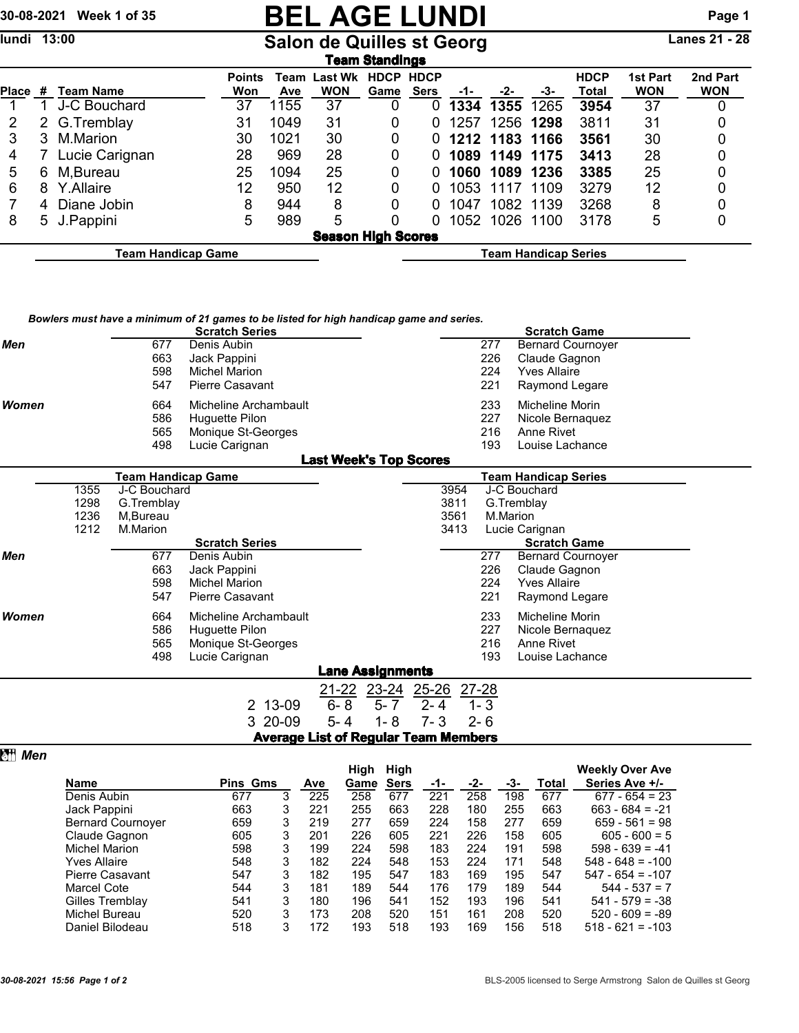## 30-08-2021 Week 1 of 35 **BEL AGE LUNDI** Page 1

lundi 13:00 **Salon de Quilles st Georg** Lanes 21 - 28

|       | Team Standings                                    |                |                      |      |                                   |                     |                            |      |                |      |                      |                        |                        |
|-------|---------------------------------------------------|----------------|----------------------|------|-----------------------------------|---------------------|----------------------------|------|----------------|------|----------------------|------------------------|------------------------|
| Place | #                                                 | Team Name      | <b>Points</b><br>Won | Ave  | <b>Team Last Wk</b><br><b>WON</b> | <b>HDCP</b><br>Game | <b>HDCP</b><br><b>Sers</b> | -1-  | -2-            | -3-  | <b>HDCP</b><br>Total | 1st Part<br><b>WON</b> | 2nd Part<br><b>WON</b> |
|       |                                                   | J-C Bouchard   | 37                   | 1155 | 37                                |                     | 0                          | 1334 | 1355           | 1265 | 3954                 | 37                     |                        |
| 2     |                                                   | 2 G.Tremblay   | 31                   | 1049 | 31                                | 0                   | 0                          | 1257 | 1256 1298      |      | 3811                 | 31                     |                        |
| 3     | 3.                                                | M.Marion       | 30                   | 1021 | 30                                | 0                   | 0                          |      | 1212 1183 1166 |      | 3561                 | 30                     |                        |
| 4     |                                                   | Lucie Carignan | 28                   | 969  | 28                                | 0                   | 0                          |      | 1089 1149 1175 |      | 3413                 | 28                     |                        |
| 5     | 6                                                 | M,Bureau       | 25                   | 1094 | 25                                | 0                   | 0                          | 1060 | 1089           | 1236 | 3385                 | 25                     |                        |
| 6     | 8                                                 | Y.Allaire      | 12                   | 950  | 12                                | 0                   |                            | 1053 | 1117           | 1109 | 3279                 | 12                     |                        |
|       | 4                                                 | Diane Jobin    | 8                    | 944  | 8                                 | 0                   | 0                          | 1047 | 1082 1139      |      | 3268                 | 8                      |                        |
| 8     |                                                   | 5 J.Pappini    | 5                    | 989  | 5                                 |                     | 0                          |      | 1052 1026 1100 |      | 3178                 | 5                      |                        |
|       | <b>Season High Scores</b>                         |                |                      |      |                                   |                     |                            |      |                |      |                      |                        |                        |
|       | Team Handicap Game<br><b>Team Handicap Series</b> |                |                      |      |                                   |                     |                            |      |                |      |                      |                        |                        |

|              |                              |                                                                                        | Bowlers must have a minimum of 21 games to be listed for high handicap game and series.<br><b>Scratch Series</b> |                               |                                                |                    |                              |                                    | <b>Scratch Game</b>                                                                |  |
|--------------|------------------------------|----------------------------------------------------------------------------------------|------------------------------------------------------------------------------------------------------------------|-------------------------------|------------------------------------------------|--------------------|------------------------------|------------------------------------|------------------------------------------------------------------------------------|--|
| Men          |                              | 677<br>663<br>598<br>547                                                               | Denis Aubin<br>Jack Pappini<br><b>Michel Marion</b><br><b>Pierre Casavant</b>                                    |                               |                                                |                    |                              | 277<br>226<br>224<br>221           | <b>Bernard Cournover</b><br>Claude Gagnon<br><b>Yves Allaire</b><br>Raymond Legare |  |
| Women        |                              | 664<br>586<br>565<br>498                                                               | Micheline Archambault<br>Huguette Pilon<br>Monique St-Georges<br>Lucie Carignan                                  |                               |                                                |                    |                              | 233<br>227<br>216<br>193           | Micheline Morin<br>Nicole Bernaguez<br>Anne Rivet<br>Louise Lachance               |  |
|              |                              |                                                                                        |                                                                                                                  | <b>Last Week's Top Scores</b> |                                                |                    |                              |                                    | <b>Team Handicap Series</b>                                                        |  |
| Men          | 1355<br>1298<br>1236<br>1212 | <b>Team Handicap Game</b><br>J-C Bouchard<br>G.Tremblay<br>M,Bureau<br>M.Marion<br>677 | <b>Scratch Series</b><br>Denis Aubin                                                                             |                               |                                                |                    | 3954<br>3811<br>3561<br>3413 | 277                                | J-C Bouchard<br>G.Tremblay<br>M.Marion<br>Lucie Carignan<br><b>Scratch Game</b>    |  |
|              |                              | 663<br>598<br>547                                                                      | Jack Pappini<br><b>Michel Marion</b><br><b>Pierre Casavant</b>                                                   |                               |                                                |                    |                              | 226<br>224<br>221                  | <b>Bernard Cournoyer</b><br>Claude Gagnon<br><b>Yves Allaire</b><br>Raymond Legare |  |
| <b>Women</b> |                              | 664<br>586<br>565<br>498                                                               | Micheline Archambault<br>Huguette Pilon<br>Monique St-Georges<br>Lucie Carignan                                  |                               |                                                |                    |                              | 233<br>227<br>216<br>193           | Micheline Morin<br>Nicole Bernaguez<br>Anne Rivet<br>Louise Lachance               |  |
|              |                              |                                                                                        |                                                                                                                  |                               | <b>Lane Assignments</b>                        |                    |                              |                                    |                                                                                    |  |
|              |                              |                                                                                        | 2 13-09<br>3 20-09<br><b>Average List of Regular Team Members</b>                                                | $6 - 8$<br>$5 - 4$            | <u>21-22</u> 23-24 25-26<br>$5 - 7$<br>$1 - 8$ | $2 - 4$<br>$7 - 3$ |                              | <u>27-28</u><br>$1 - 3$<br>$2 - 6$ |                                                                                    |  |

|                          |                 |   |     | High | High        |     |     |     |       | <b>Weekly Over Ave</b> |
|--------------------------|-----------------|---|-----|------|-------------|-----|-----|-----|-------|------------------------|
| <b>Name</b>              | <b>Pins Gms</b> |   | Ave | Game | <b>Sers</b> | -1- | -2- | -3- | Total | Series Ave +/-         |
| Denis Aubin              | 677             | 3 | 225 | 258  | 677         | 221 | 258 | 198 | 677   | $677 - 654 = 23$       |
| Jack Pappini             | 663             | 3 | 221 | 255  | 663         | 228 | 180 | 255 | 663   | $663 - 684 = -21$      |
| <b>Bernard Cournover</b> | 659             | 3 | 219 | 277  | 659         | 224 | 158 | 277 | 659   | $659 - 561 = 98$       |
| Claude Gagnon            | 605             | 3 | 201 | 226  | 605         | 221 | 226 | 158 | 605   | $605 - 600 = 5$        |
| Michel Marion            | 598             | 3 | 199 | 224  | 598         | 183 | 224 | 191 | 598   | $598 - 639 = -41$      |
| Yves Allaire             | 548             | 3 | 182 | 224  | 548         | 153 | 224 | 171 | 548   | $548 - 648 = -100$     |
| Pierre Casavant          | 547             | 3 | 182 | 195  | 547         | 183 | 169 | 195 | 547   | $547 - 654 = -107$     |
| <b>Marcel Cote</b>       | 544             | 3 | 181 | 189  | 544         | 176 | 179 | 189 | 544   | $544 - 537 = 7$        |
| Gilles Tremblay          | 541             | 3 | 180 | 196  | 541         | 152 | 193 | 196 | 541   | $541 - 579 = -38$      |
| Michel Bureau            | 520             | 3 | 173 | 208  | 520         | 151 | 161 | 208 | 520   | $520 - 609 = -89$      |
| Daniel Bilodeau          | 518             | 3 | 172 | 193  | 518         | 193 | 169 | 156 | 518   | $518 - 621 = -103$     |